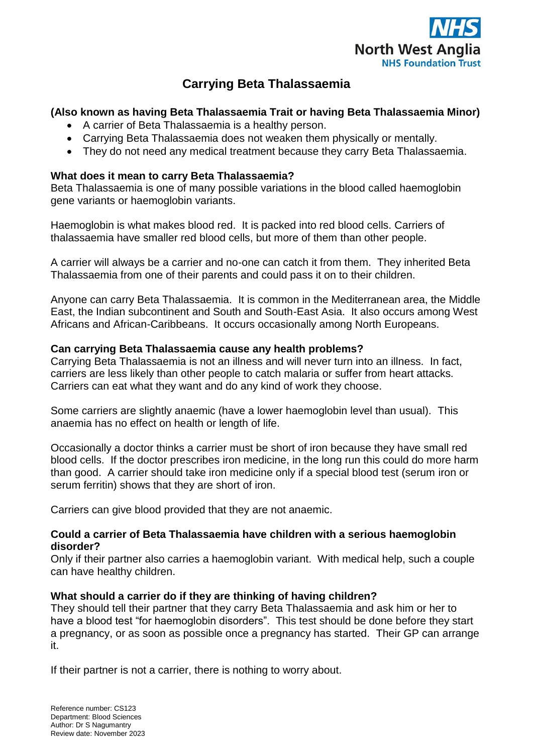

# **Carrying Beta Thalassaemia**

# **(Also known as having Beta Thalassaemia Trait or having Beta Thalassaemia Minor)**

- A carrier of Beta Thalassaemia is a healthy person.
- Carrying Beta Thalassaemia does not weaken them physically or mentally.
- They do not need any medical treatment because they carry Beta Thalassaemia.

## **What does it mean to carry Beta Thalassaemia?**

Beta Thalassaemia is one of many possible variations in the blood called haemoglobin gene variants or haemoglobin variants.

Haemoglobin is what makes blood red. It is packed into red blood cells. Carriers of thalassaemia have smaller red blood cells, but more of them than other people.

A carrier will always be a carrier and no-one can catch it from them. They inherited Beta Thalassaemia from one of their parents and could pass it on to their children.

Anyone can carry Beta Thalassaemia. It is common in the Mediterranean area, the Middle East, the Indian subcontinent and South and South-East Asia. It also occurs among West Africans and African-Caribbeans. It occurs occasionally among North Europeans.

### **Can carrying Beta Thalassaemia cause any health problems?**

Carrying Beta Thalassaemia is not an illness and will never turn into an illness. In fact, carriers are less likely than other people to catch malaria or suffer from heart attacks. Carriers can eat what they want and do any kind of work they choose.

Some carriers are slightly anaemic (have a lower haemoglobin level than usual). This anaemia has no effect on health or length of life.

Occasionally a doctor thinks a carrier must be short of iron because they have small red blood cells. If the doctor prescribes iron medicine, in the long run this could do more harm than good. A carrier should take iron medicine only if a special blood test (serum iron or serum ferritin) shows that they are short of iron.

Carriers can give blood provided that they are not anaemic.

### **Could a carrier of Beta Thalassaemia have children with a serious haemoglobin disorder?**

Only if their partner also carries a haemoglobin variant. With medical help, such a couple can have healthy children.

### **What should a carrier do if they are thinking of having children?**

They should tell their partner that they carry Beta Thalassaemia and ask him or her to have a blood test "for haemoglobin disorders". This test should be done before they start a pregnancy, or as soon as possible once a pregnancy has started. Their GP can arrange it.

If their partner is not a carrier, there is nothing to worry about.